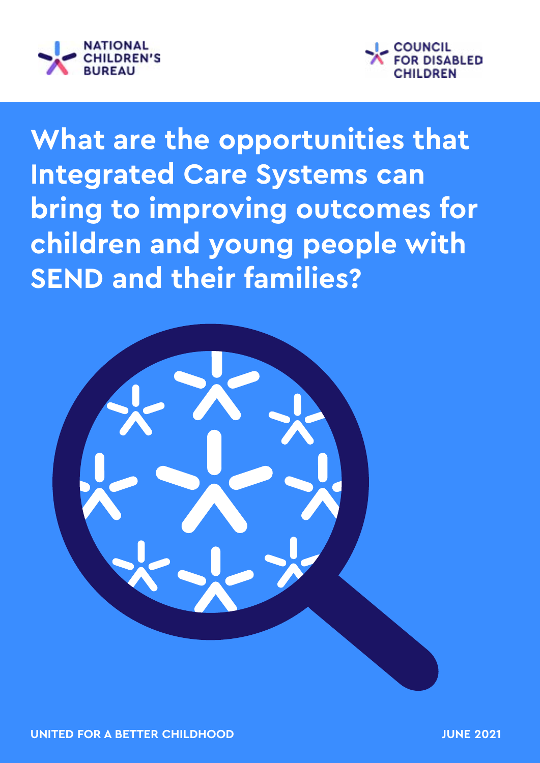



**What are the opportunities that Integrated Care Systems can bring to improving outcomes for children and young people with SEND and their families?**

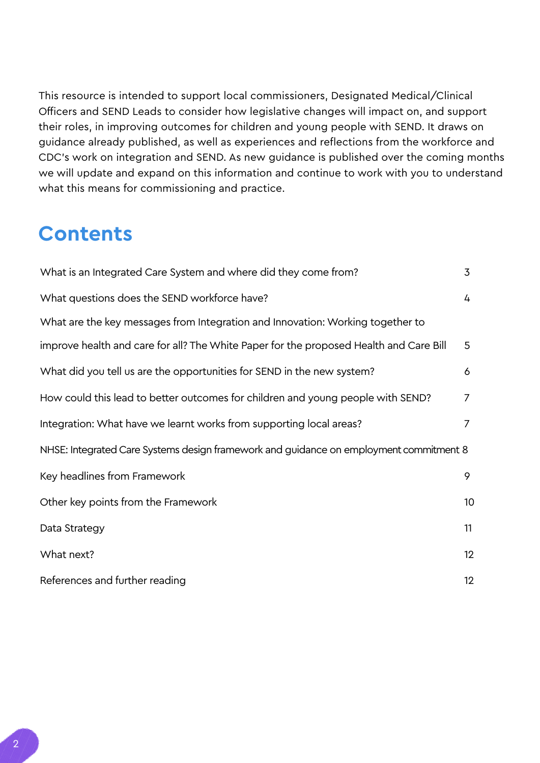This resource is intended to support local commissioners, Designated Medical/Clinical Officers and SEND Leads to consider how legislative changes will impact on, and support their roles, in improving outcomes for children and young people with SEND. It draws on guidance already published, as well as experiences and reflections from the workforce and CDC's work on integration and SEND. As new guidance is published over the coming months we will update and expand on this information and continue to work with you to understand what this means for commissioning and practice.

## **Contents**

| What is an Integrated Care System and where did they come from?                        |                |  |  |  |  |
|----------------------------------------------------------------------------------------|----------------|--|--|--|--|
| What questions does the SEND workforce have?                                           | 4              |  |  |  |  |
| What are the key messages from Integration and Innovation: Working together to         |                |  |  |  |  |
| improve health and care for all? The White Paper for the proposed Health and Care Bill | 5              |  |  |  |  |
| What did you tell us are the opportunities for SEND in the new system?                 | 6              |  |  |  |  |
| How could this lead to better outcomes for children and young people with SEND?        | $\overline{7}$ |  |  |  |  |
| Integration: What have we learnt works from supporting local areas?                    | 7              |  |  |  |  |
| NHSE: Integrated Care Systems design framework and guidance on employment commitment 8 |                |  |  |  |  |
| Key headlines from Framework                                                           | 9              |  |  |  |  |
| Other key points from the Framework                                                    | 10             |  |  |  |  |
| Data Strategy                                                                          | 11             |  |  |  |  |
| What next?                                                                             | 12             |  |  |  |  |
| References and further reading                                                         | 12             |  |  |  |  |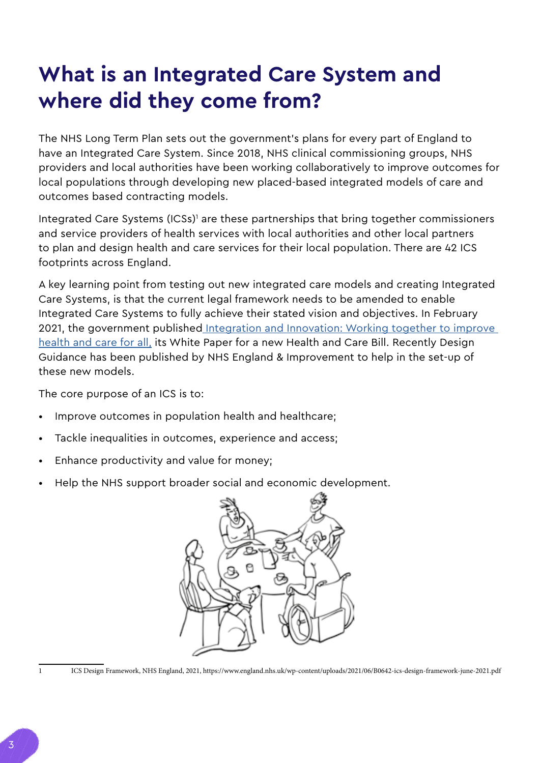# <span id="page-2-0"></span>**What is an Integrated Care System and where did they come from?**

The NHS Long Term Plan sets out the government's plans for every part of England to have an Integrated Care System. Since 2018, NHS clinical commissioning groups, NHS providers and local authorities have been working collaboratively to improve outcomes for local populations through developing new placed-based integrated models of care and outcomes based contracting models.

Integrated Care Systems (ICSs)<sup>1</sup> are these partnerships that bring together commissioners and service providers of health services with local authorities and other local partners to plan and design health and care services for their local population. There are 42 ICS footprints across England.

A key learning point from testing out new integrated care models and creating Integrated Care Systems, is that the current legal framework needs to be amended to enable Integrated Care Systems to fully achieve their stated vision and objectives. In February 2021, the government publishe[d Integration and Innovation: Working together to improve](https://www.gov.uk/government/publications/working-together-to-improve-health-and-social-care-for-all)  [health and care for all,](https://www.gov.uk/government/publications/working-together-to-improve-health-and-social-care-for-all) its White Paper for a new Health and Care Bill. Recently Design Guidance has been published by NHS England & Improvement to help in the set-up of these new models.

The core purpose of an ICS is to:

- Improve outcomes in population health and healthcare;
- Tackle inequalities in outcomes, experience and access;
- Enhance productivity and value for money;
- Help the NHS support broader social and economic development.



1 ICS Design Framework, NHS England, 2021, https://www.england.nhs.uk/wp-content/uploads/2021/06/B0642-ics-design-framework-june-2021.pdf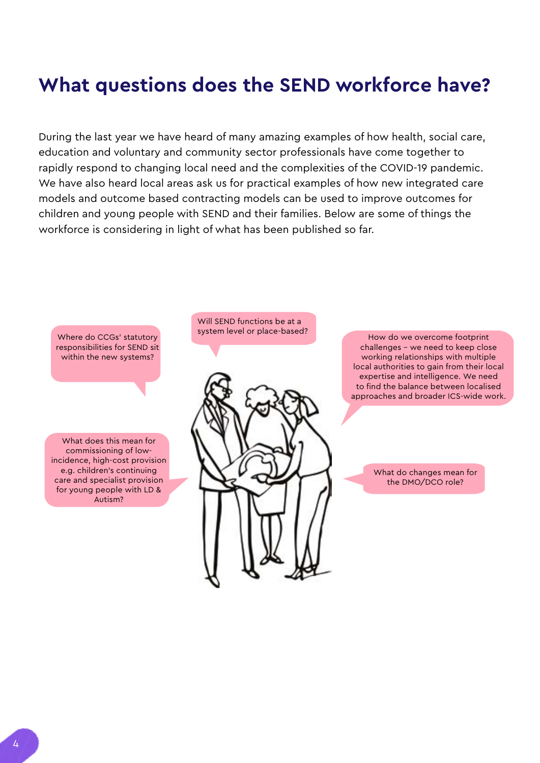## <span id="page-3-0"></span>**What questions does the SEND workforce have?**

During the last year we have heard of many amazing examples of how health, social care, education and voluntary and community sector professionals have come together to rapidly respond to changing local need and the complexities of the COVID-19 pandemic. We have also heard local areas ask us for practical examples of how new integrated care models and outcome based contracting models can be used to improve outcomes for children and young people with SEND and their families. Below are some of things the workforce is considering in light of what has been published so far.

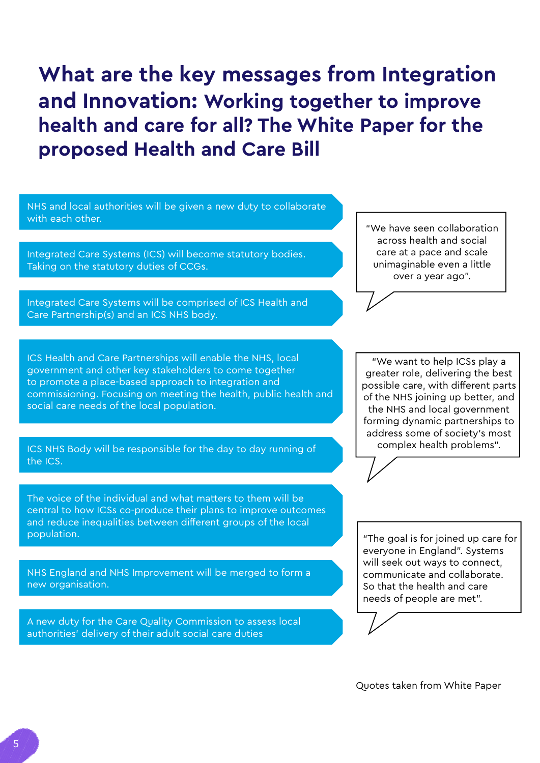# <span id="page-4-0"></span>**What are the key messages from Integration and Innovation: Working together to improve health and care for all? The White Paper for the proposed Health and Care Bill**

| NHS and local authorities will be given a new duty to collaborate<br>with each other.<br>Integrated Care Systems (ICS) will become statutory bodies.<br>Taking on the statutory duties of CCGs.<br>Integrated Care Systems will be comprised of ICS Health and<br>Care Partnership(s) and an ICS NHS body.                                                                    | "We have seen collaboration<br>across health and social<br>care at a pace and scale<br>unimaginable even a little<br>over a year ago".                                                                                                                                          |
|-------------------------------------------------------------------------------------------------------------------------------------------------------------------------------------------------------------------------------------------------------------------------------------------------------------------------------------------------------------------------------|---------------------------------------------------------------------------------------------------------------------------------------------------------------------------------------------------------------------------------------------------------------------------------|
| ICS Health and Care Partnerships will enable the NHS, local<br>government and other key stakeholders to come together<br>to promote a place-based approach to integration and<br>commissioning. Focusing on meeting the health, public health and<br>social care needs of the local population.<br>ICS NHS Body will be responsible for the day to day running of<br>the ICS. | "We want to help ICSs play a<br>greater role, delivering the best<br>possible care, with different parts<br>of the NHS joining up better, and<br>the NHS and local government<br>forming dynamic partnerships to<br>address some of society's most<br>complex health problems". |
| The voice of the individual and what matters to them will be<br>central to how ICSs co-produce their plans to improve outcomes<br>and reduce inequalities between different groups of the local<br>population.<br>NHS England and NHS Improvement will be merged to form a<br>new organisation.                                                                               | "The goal is for joined up care for<br>everyone in England". Systems<br>will seek out ways to connect,<br>communicate and collaborate.<br>So that the health and care<br>needs of people are met".                                                                              |
| A new duty for the Care Quality Commission to assess local<br>authorities' delivery of their adult social care duties                                                                                                                                                                                                                                                         | Quotes taken from White Paper                                                                                                                                                                                                                                                   |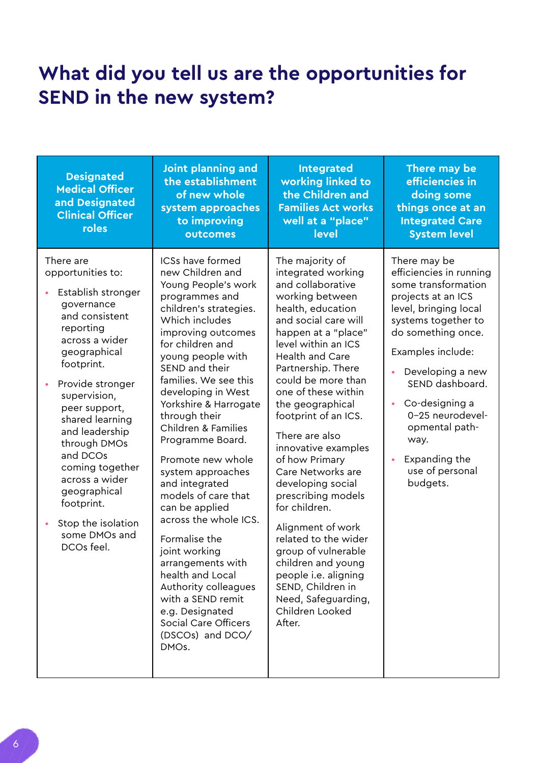## <span id="page-5-0"></span>**What did you tell us are the opportunities for SEND in the new system?**

| <b>Designated</b><br><b>Medical Officer</b><br>and Designated<br><b>Clinical Officer</b><br>roles                                                                                                                                                                                                                                                                                               | Joint planning and<br>the establishment<br>of new whole<br>system approaches<br>to improving<br>outcomes                                                                                                                                                                                                                                                                                                                                                                                                                                                                                                                                                                     | <b>Integrated</b><br>working linked to<br>the Children and<br><b>Families Act works</b><br>well at a "place"<br>level                                                                                                                                                                                                                                                                                                                                                                                                                                                                                                                                    | There may be<br>efficiencies in<br>doing some<br>things once at an<br><b>Integrated Care</b><br><b>System level</b>                                                                                                                                                                                                                                 |
|-------------------------------------------------------------------------------------------------------------------------------------------------------------------------------------------------------------------------------------------------------------------------------------------------------------------------------------------------------------------------------------------------|------------------------------------------------------------------------------------------------------------------------------------------------------------------------------------------------------------------------------------------------------------------------------------------------------------------------------------------------------------------------------------------------------------------------------------------------------------------------------------------------------------------------------------------------------------------------------------------------------------------------------------------------------------------------------|----------------------------------------------------------------------------------------------------------------------------------------------------------------------------------------------------------------------------------------------------------------------------------------------------------------------------------------------------------------------------------------------------------------------------------------------------------------------------------------------------------------------------------------------------------------------------------------------------------------------------------------------------------|-----------------------------------------------------------------------------------------------------------------------------------------------------------------------------------------------------------------------------------------------------------------------------------------------------------------------------------------------------|
| There are<br>opportunities to:<br>Establish stronger<br>governance<br>and consistent<br>reporting<br>across a wider<br>geographical<br>footprint.<br>Provide stronger<br>supervision,<br>peer support,<br>shared learning<br>and leadership<br>through DMOs<br>and DCOs<br>coming together<br>across a wider<br>geographical<br>footprint.<br>Stop the isolation<br>some DMOs and<br>DCOs feel. | ICSs have formed<br>new Children and<br>Young People's work<br>programmes and<br>children's strategies.<br>Which includes<br>improving outcomes<br>for children and<br>young people with<br>SEND and their<br>families. We see this<br>developing in West<br>Yorkshire & Harrogate<br>through their<br>Children & Families<br>Programme Board.<br>Promote new whole<br>system approaches<br>and integrated<br>models of care that<br>can be applied<br>across the whole ICS.<br>Formalise the<br>joint working<br>arrangements with<br>health and Local<br>Authority colleagues<br>with a SEND remit<br>e.g. Designated<br>Social Care Officers<br>(DSCOs) and DCO/<br>DMOs. | The majority of<br>integrated working<br>and collaborative<br>working between<br>health, education<br>and social care will<br>happen at a "place"<br>level within an ICS<br><b>Health and Care</b><br>Partnership. There<br>could be more than<br>one of these within<br>the geographical<br>footprint of an ICS.<br>There are also<br>innovative examples<br>of how Primary<br>Care Networks are<br>developing social<br>prescribing models<br>for children.<br>Alignment of work<br>related to the wider<br>group of vulnerable<br>children and young<br>people i.e. aligning<br>SEND, Children in<br>Need, Safeguarding,<br>Children Looked<br>After. | There may be<br>efficiencies in running<br>some transformation<br>projects at an ICS<br>level, bringing local<br>systems together to<br>do something once.<br>Examples include:<br>Developing a new<br>SEND dashboard.<br>Co-designing a<br>$\bullet$<br>0-25 neurodevel-<br>opmental path-<br>way.<br>Expanding the<br>use of personal<br>budgets. |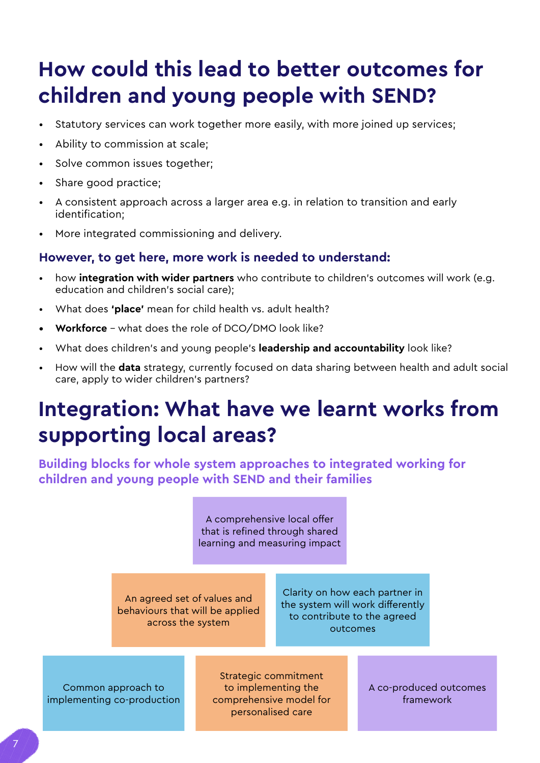# <span id="page-6-0"></span>**How could this lead to better outcomes for children and young people with SEND?**

- Statutory services can work together more easily, with more joined up services;
- Ability to commission at scale;
- Solve common issues together;
- Share good practice;
- A consistent approach across a larger area e.g. in relation to transition and early identification;
- More integrated commissioning and delivery.

### **However, to get here, more work is needed to understand:**

- how **integration with wider partners** who contribute to children's outcomes will work (e.g. education and children's social care);
- What does **'place'** mean for child health vs. adult health?
- **• Workforce**  what does the role of DCO/DMO look like?
- What does children's and young people's **leadership and accountability** look like?
- How will the **data** strategy, currently focused on data sharing between health and adult social care, apply to wider children's partners?

# **Integration: What have we learnt works from supporting local areas?**

**Building blocks for whole system approaches to integrated working for children and young people with SEND and their families**

> A comprehensive local offer that is refined through shared learning and measuring impact

An agreed set of values and behaviours that will be applied across the system

Clarity on how each partner in the system will work differently to contribute to the agreed outcomes

Common approach to implementing co-production

Strategic commitment to implementing the comprehensive model for personalised care

A co-produced outcomes framework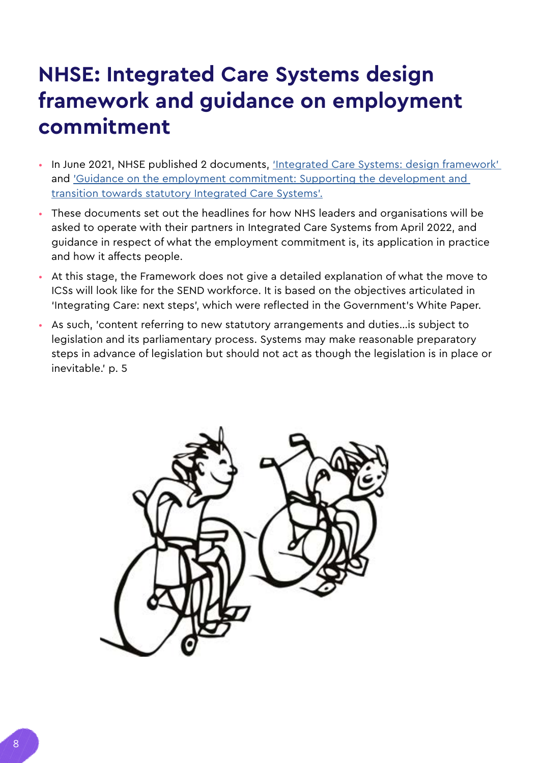# <span id="page-7-0"></span>**NHSE: Integrated Care Systems design framework and guidance on employment commitment**

- In June 2021, NHSE published 2 documents, ['Integrated Care Systems: design framework'](https://www.england.nhs.uk/wp-content/uploads/2021/06/B0642-ics-design-framework-june-2021.pdf)  and ['Guidance on the employment commitment: Supporting the development and](https://www.england.nhs.uk/wp-content/uploads/2021/06/B0724-employment-commitment-guidance-supporting-ics-v1.pdf)  [transition towards statutory Integrated Care Systems'.](https://www.england.nhs.uk/wp-content/uploads/2021/06/B0724-employment-commitment-guidance-supporting-ics-v1.pdf)
- These documents set out the headlines for how NHS leaders and organisations will be asked to operate with their partners in Integrated Care Systems from April 2022, and guidance in respect of what the employment commitment is, its application in practice and how it affects people.
- At this stage, the Framework does not give a detailed explanation of what the move to ICSs will look like for the SEND workforce. It is based on the objectives articulated in 'Integrating Care: next steps', which were reflected in the Government's White Paper.
- As such, 'content referring to new statutory arrangements and duties…is subject to legislation and its parliamentary process. Systems may make reasonable preparatory steps in advance of legislation but should not act as though the legislation is in place or inevitable.' p. 5

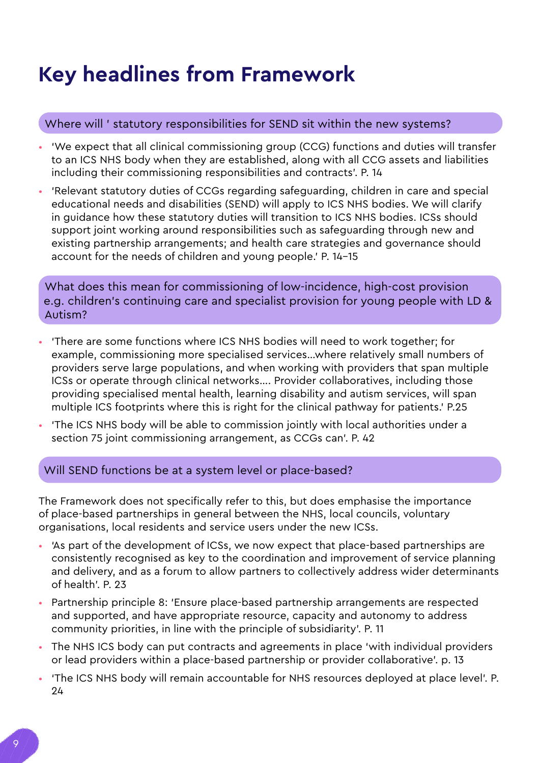# <span id="page-8-0"></span>**Key headlines from Framework**

### Where will ' statutory responsibilities for SEND sit within the new systems?

- 'We expect that all clinical commissioning group (CCG) functions and duties will transfer to an ICS NHS body when they are established, along with all CCG assets and liabilities including their commissioning responsibilities and contracts'. P. 14
- 'Relevant statutory duties of CCGs regarding safeguarding, children in care and special educational needs and disabilities (SEND) will apply to ICS NHS bodies. We will clarify in guidance how these statutory duties will transition to ICS NHS bodies. ICSs should support joint working around responsibilities such as safeguarding through new and existing partnership arrangements; and health care strategies and governance should account for the needs of children and young people.' P. 14-15

What does this mean for commissioning of low-incidence, high-cost provision e.g. children's continuing care and specialist provision for young people with LD & Autism?

- 'There are some functions where ICS NHS bodies will need to work together; for example, commissioning more specialised services…where relatively small numbers of providers serve large populations, and when working with providers that span multiple ICSs or operate through clinical networks…. Provider collaboratives, including those providing specialised mental health, learning disability and autism services, will span multiple ICS footprints where this is right for the clinical pathway for patients.' P.25
- 'The ICS NHS body will be able to commission jointly with local authorities under a section 75 joint commissioning arrangement, as CCGs can'. P. 42

### Will SEND functions be at a system level or place-based?

The Framework does not specifically refer to this, but does emphasise the importance of place-based partnerships in general between the NHS, local councils, voluntary organisations, local residents and service users under the new ICSs.

- 'As part of the development of ICSs, we now expect that place-based partnerships are consistently recognised as key to the coordination and improvement of service planning and delivery, and as a forum to allow partners to collectively address wider determinants of health'. P. 23
- Partnership principle 8: 'Ensure place-based partnership arrangements are respected and supported, and have appropriate resource, capacity and autonomy to address community priorities, in line with the principle of subsidiarity'. P. 11
- The NHS ICS body can put contracts and agreements in place 'with individual providers or lead providers within a place-based partnership or provider collaborative'. p. 13
- 'The ICS NHS body will remain accountable for NHS resources deployed at place level'. P. 24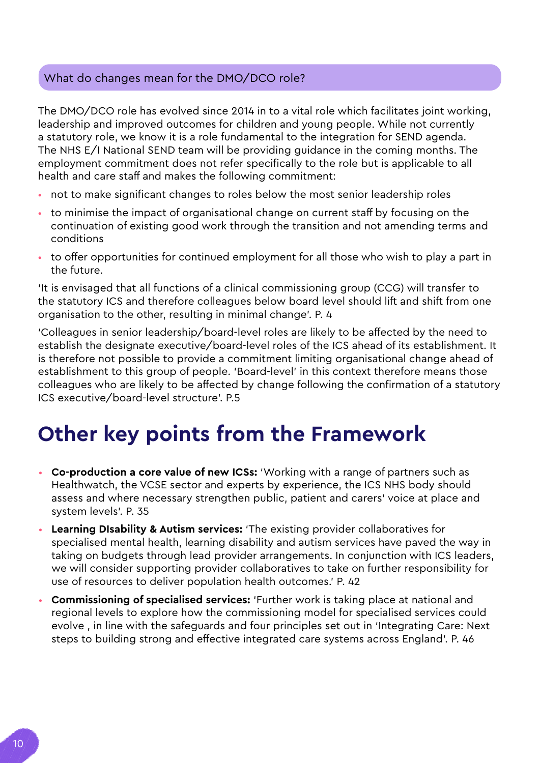### <span id="page-9-0"></span>What do changes mean for the DMO/DCO role?

The DMO/DCO role has evolved since 2014 in to a vital role which facilitates joint working, leadership and improved outcomes for children and young people. While not currently a statutory role, we know it is a role fundamental to the integration for SEND agenda. The NHS E/I National SEND team will be providing guidance in the coming months. The employment commitment does not refer specifically to the role but is applicable to all health and care staff and makes the following commitment:

- not to make significant changes to roles below the most senior leadership roles
- to minimise the impact of organisational change on current staff by focusing on the continuation of existing good work through the transition and not amending terms and conditions
- to offer opportunities for continued employment for all those who wish to play a part in the future.

'It is envisaged that all functions of a clinical commissioning group (CCG) will transfer to the statutory ICS and therefore colleagues below board level should lift and shift from one organisation to the other, resulting in minimal change'. P. 4

'Colleagues in senior leadership/board-level roles are likely to be affected by the need to establish the designate executive/board-level roles of the ICS ahead of its establishment. It is therefore not possible to provide a commitment limiting organisational change ahead of establishment to this group of people. 'Board-level' in this context therefore means those colleagues who are likely to be affected by change following the confirmation of a statutory ICS executive/board-level structure'. P.5

# **Other key points from the Framework**

- **Co-production a core value of new ICSs:** 'Working with a range of partners such as Healthwatch, the VCSE sector and experts by experience, the ICS NHS body should assess and where necessary strengthen public, patient and carers' voice at place and system levels'. P. 35
- **Learning DIsability & Autism services:** 'The existing provider collaboratives for specialised mental health, learning disability and autism services have paved the way in taking on budgets through lead provider arrangements. In conjunction with ICS leaders, we will consider supporting provider collaboratives to take on further responsibility for use of resources to deliver population health outcomes.' P. 42
- **Commissioning of specialised services:** 'Further work is taking place at national and regional levels to explore how the commissioning model for specialised services could evolve , in line with the safeguards and four principles set out in 'Integrating Care: Next steps to building strong and effective integrated care systems across England'. P. 46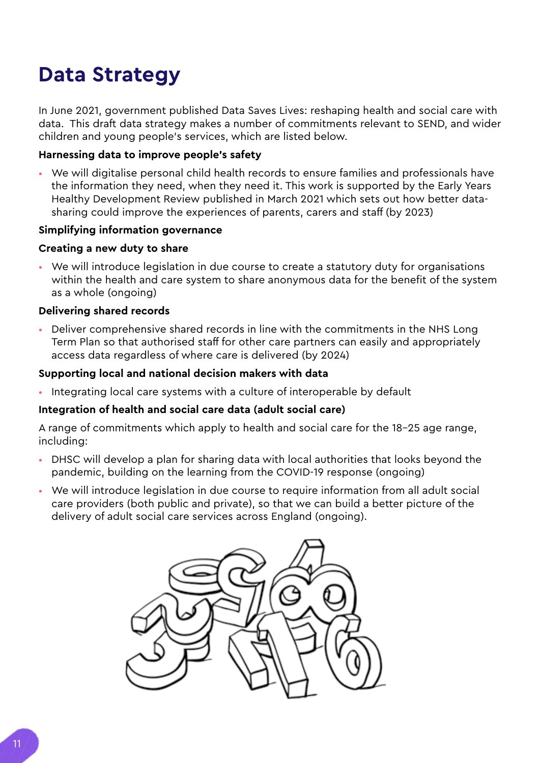# <span id="page-10-0"></span>**Data Strategy**

In June 2021, government published Data Saves Lives: reshaping health and social care with data. This draft data strategy makes a number of commitments relevant to SEND, and wider children and young people's services, which are listed below.

### **Harnessing data to improve people's safety**

• We will digitalise personal child health records to ensure families and professionals have the information they need, when they need it. This work is supported by the Early Years Healthy Development Review published in March 2021 which sets out how better datasharing could improve the experiences of parents, carers and staff (by 2023)

#### **Simplifying information governance**

### **Creating a new duty to share**

• We will introduce legislation in due course to create a statutory duty for organisations within the health and care system to share anonymous data for the benefit of the system as a whole (ongoing)

### **Delivering shared records**

• Deliver comprehensive shared records in line with the commitments in the NHS Long Term Plan so that authorised staff for other care partners can easily and appropriately access data regardless of where care is delivered (by 2024)

### **Supporting local and national decision makers with data**

• Integrating local care systems with a culture of interoperable by default

#### **Integration of health and social care data (adult social care)**

A range of commitments which apply to health and social care for the 18-25 age range, including:

- DHSC will develop a plan for sharing data with local authorities that looks beyond the pandemic, building on the learning from the COVID-19 response (ongoing)
- We will introduce legislation in due course to require information from all adult social care providers (both public and private), so that we can build a better picture of the delivery of adult social care services across England (ongoing).